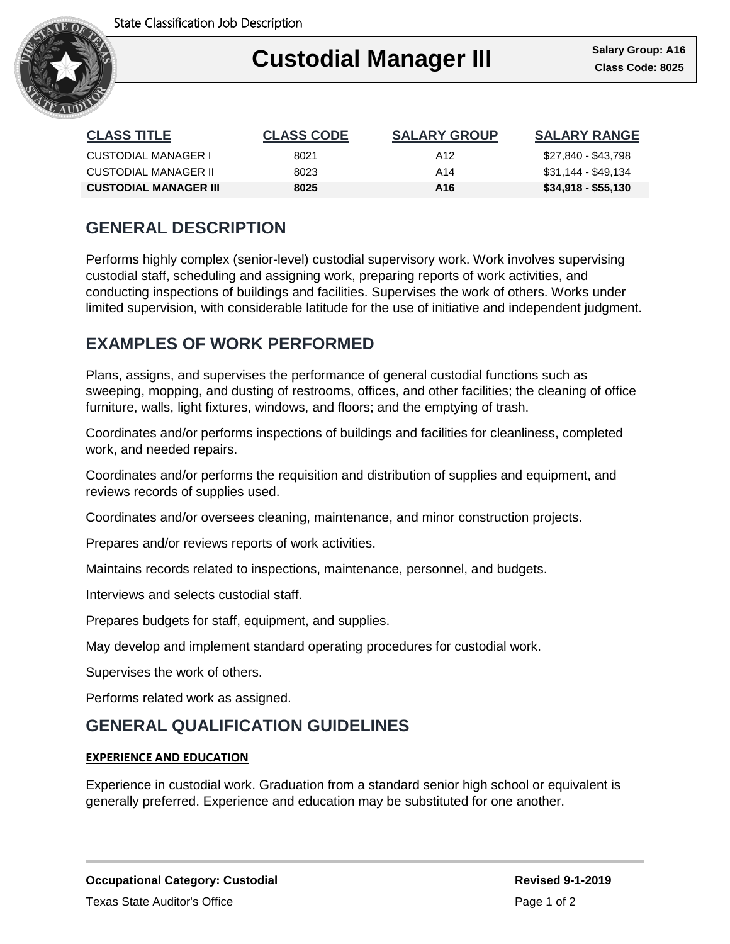

### Ι **Custodial Manager III Class Code: 8025**

| <b>CLASS TITLE</b>           | <b>CLASS CODE</b> | <b>SALARY GROUP</b> | <b>SALARY RANGE</b> |
|------------------------------|-------------------|---------------------|---------------------|
| CUSTODIAL MANAGER I          | 8021              | A12                 | \$27,840 - \$43,798 |
| CUSTODIAL MANAGER II         | 8023              | A14                 | \$31,144 - \$49,134 |
| <b>CUSTODIAL MANAGER III</b> | 8025              | A16                 | $$34,918 - $55,130$ |

# **GENERAL DESCRIPTION**

Performs highly complex (senior-level) custodial supervisory work. Work involves supervising custodial staff, scheduling and assigning work, preparing reports of work activities, and conducting inspections of buildings and facilities. Supervises the work of others. Works under limited supervision, with considerable latitude for the use of initiative and independent judgment.

## **EXAMPLES OF WORK PERFORMED**

Plans, assigns, and supervises the performance of general custodial functions such as sweeping, mopping, and dusting of restrooms, offices, and other facilities; the cleaning of office furniture, walls, light fixtures, windows, and floors; and the emptying of trash.

Coordinates and/or performs inspections of buildings and facilities for cleanliness, completed work, and needed repairs.

Coordinates and/or performs the requisition and distribution of supplies and equipment, and reviews records of supplies used.

Coordinates and/or oversees cleaning, maintenance, and minor construction projects.

Prepares and/or reviews reports of work activities.

Maintains records related to inspections, maintenance, personnel, and budgets.

Interviews and selects custodial staff.

Prepares budgets for staff, equipment, and supplies.

May develop and implement standard operating procedures for custodial work.

Supervises the work of others.

Performs related work as assigned.

### **GENERAL QUALIFICATION GUIDELINES**

#### **EXPERIENCE AND EDUCATION**

Experience in custodial work. Graduation from a standard senior high school or equivalent is generally preferred. Experience and education may be substituted for one another.